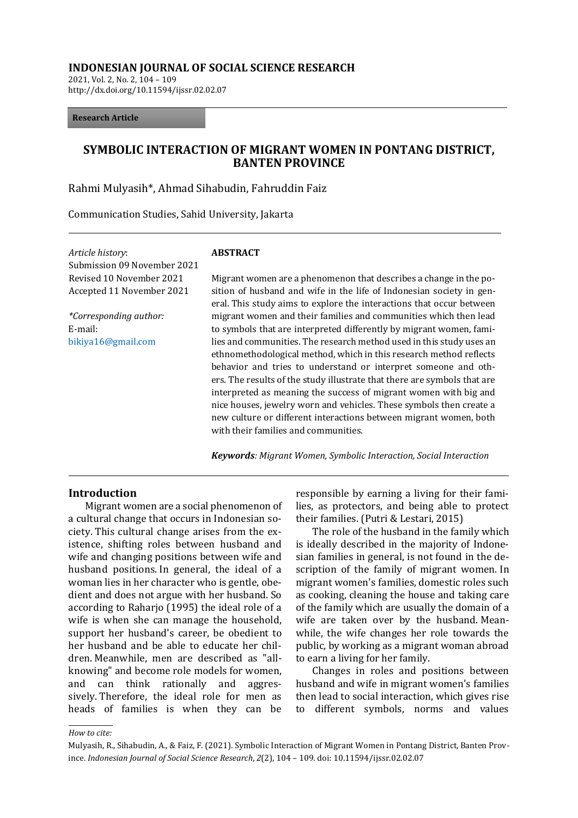#### **INDONESIAN JOURNAL OF SOCIAL SCIENCE RESEARCH**

2021, Vol. 2, No. 2, 104 – 109 http://dx.doi.org/10.11594/ijssr.02.02.07

#### **Research Article**

# **SYMBOLIC INTERACTION OF MIGRANT WOMEN IN PONTANG DISTRICT, BANTEN PROVINCE**

Rahmi Mulyasih\*, Ahmad Sihabudin, Fahruddin Faiz

Communication Studies, Sahid University, Jakarta

*Article history*: Submission 09 November 2021 Revised 10 November 2021 Accepted 11 November 2021

*\*Corresponding author:* E-mail: [bikiya16@gmail.com](mailto:bikiya16@gmail.com)

#### **ABSTRACT**

Migrant women are a phenomenon that describes a change in the position of husband and wife in the life of Indonesian society in general. This study aims to explore the interactions that occur between migrant women and their families and communities which then lead to symbols that are interpreted differently by migrant women, families and communities. The research method used in this study uses an ethnomethodological method, which in this research method reflects behavior and tries to understand or interpret someone and others. The results of the study illustrate that there are symbols that are interpreted as meaning the success of migrant women with big and nice houses, jewelry worn and vehicles. These symbols then create a new culture or different interactions between migrant women, both with their families and communities.

*Keywords: Migrant Women, Symbolic Interaction, Social Interaction*

#### **Introduction**

Migrant women are a social phenomenon of a cultural change that occurs in Indonesian society. This cultural change arises from the existence, shifting roles between husband and wife and changing positions between wife and husband positions. In general, the ideal of a woman lies in her character who is gentle, obedient and does not argue with her husband. So according to Raharjo (1995) the ideal role of a wife is when she can manage the household, support her husband's career, be obedient to her husband and be able to educate her children. Meanwhile, men are described as "allknowing" and become role models for women, and can think rationally and aggressively. Therefore, the ideal role for men as heads of families is when they can be

responsible by earning a living for their families, as protectors, and being able to protect their families. (Putri & Lestari, 2015)

The role of the husband in the family which is ideally described in the majority of Indonesian families in general, is not found in the description of the family of migrant women. In migrant women's families, domestic roles such as cooking, cleaning the house and taking care of the family which are usually the domain of a wife are taken over by the husband. Meanwhile, the wife changes her role towards the public, by working as a migrant woman abroad to earn a living for her family.

Changes in roles and positions between husband and wife in migrant women's families then lead to social interaction, which gives rise to different symbols, norms and values

*How to cite:*

Mulyasih, R., Sihabudin, A., & Faiz, F. (2021). Symbolic Interaction of Migrant Women in Pontang District, Banten Province. *Indonesian Journal of Social Science Research*, *2*(2), 104 – 109. doi: 10.11594/ijssr.02.02.07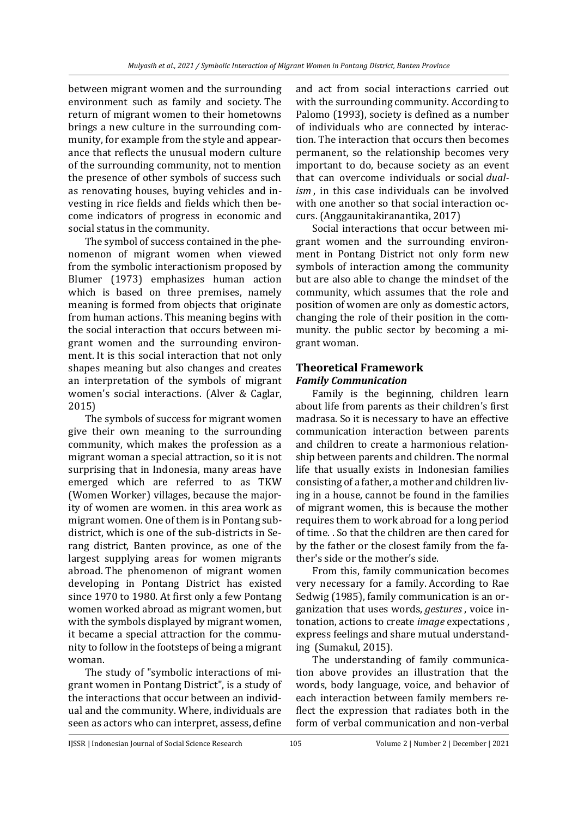between migrant women and the surrounding environment such as family and society. The return of migrant women to their hometowns brings a new culture in the surrounding community, for example from the style and appearance that reflects the unusual modern culture of the surrounding community, not to mention the presence of other symbols of success such as renovating houses, buying vehicles and investing in rice fields and fields which then become indicators of progress in economic and social status in the community.

The symbol of success contained in the phenomenon of migrant women when viewed from the symbolic interactionism proposed by Blumer (1973) emphasizes human action which is based on three premises, namely meaning is formed from objects that originate from human actions. This meaning begins with the social interaction that occurs between migrant women and the surrounding environment. It is this social interaction that not only shapes meaning but also changes and creates an interpretation of the symbols of migrant women's social interactions. (Alver & Caglar, 2015)

The symbols of success for migrant women give their own meaning to the surrounding community, which makes the profession as a migrant woman a special attraction, so it is not surprising that in Indonesia, many areas have emerged which are referred to as TKW (Women Worker) villages, because the majority of women are women. in this area work as migrant women. One of them is in Pontang subdistrict, which is one of the sub-districts in Serang district, Banten province, as one of the largest supplying areas for women migrants abroad. The phenomenon of migrant women developing in Pontang District has existed since 1970 to 1980. At first only a few Pontang women worked abroad as migrant women, but with the symbols displayed by migrant women, it became a special attraction for the community to follow in the footsteps of being a migrant woman.

The study of "symbolic interactions of migrant women in Pontang District", is a study of the interactions that occur between an individual and the community. Where, individuals are seen as actors who can interpret, assess, define

and act from social interactions carried out with the surrounding community. According to Palomo (1993), society is defined as a number of individuals who are connected by interaction. The interaction that occurs then becomes permanent, so the relationship becomes very important to do, because society as an event that can overcome individuals or social *dualism* , in this case individuals can be involved with one another so that social interaction occurs. (Anggaunitakiranantika, 2017)

Social interactions that occur between migrant women and the surrounding environment in Pontang District not only form new symbols of interaction among the community but are also able to change the mindset of the community, which assumes that the role and position of women are only as domestic actors, changing the role of their position in the community. the public sector by becoming a migrant woman.

# **Theoretical Framework** *Family Communication*

Family is the beginning, children learn about life from parents as their children's first madrasa. So it is necessary to have an effective communication interaction between parents and children to create a harmonious relationship between parents and children. The normal life that usually exists in Indonesian families consisting of a father, a mother and children living in a house, cannot be found in the families of migrant women, this is because the mother requires them to work abroad for a long period of time. . So that the children are then cared for by the father or the closest family from the father's side or the mother's side.

From this, family communication becomes very necessary for a family. According to Rae Sedwig (1985), family communication is an organization that uses words, *gestures* , voice intonation, actions to create *image* expectations , express feelings and share mutual understanding (Sumakul, 2015).

The understanding of family communication above provides an illustration that the words, body language, voice, and behavior of each interaction between family members reflect the expression that radiates both in the form of verbal communication and non-verbal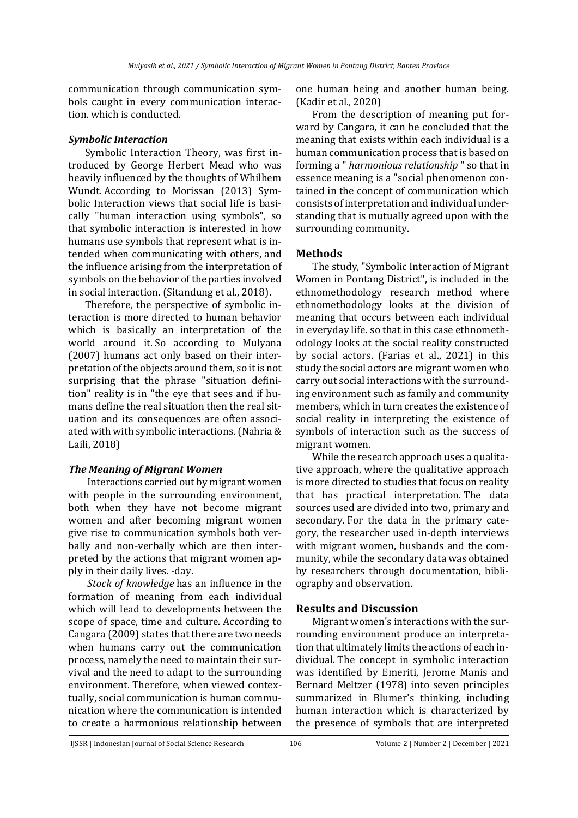communication through communication symbols caught in every communication interaction. which is conducted.

### *Symbolic Interaction*

Symbolic Interaction Theory, was first introduced by George Herbert Mead who was heavily influenced by the thoughts of Whilhem Wundt. According to Morissan (2013) Symbolic Interaction views that social life is basically "human interaction using symbols", so that symbolic interaction is interested in how humans use symbols that represent what is intended when communicating with others, and the influence arising from the interpretation of symbols on the behavior of the parties involved in social interaction. (Sitandung et al., 2018).

Therefore, the perspective of symbolic interaction is more directed to human behavior which is basically an interpretation of the world around it. So according to Mulyana (2007) humans act only based on their interpretation of the objects around them, so it is not surprising that the phrase "situation definition" reality is in "the eye that sees and if humans define the real situation then the real situation and its consequences are often associated with with symbolic interactions. (Nahria & Laili, 2018)

# *The Meaning of Migrant Women*

Interactions carried out by migrant women with people in the surrounding environment, both when they have not become migrant women and after becoming migrant women give rise to communication symbols both verbally and non-verbally which are then interpreted by the actions that migrant women apply in their daily lives. -day.

*Stock of knowledge* has an influence in the formation of meaning from each individual which will lead to developments between the scope of space, time and culture. According to Cangara (2009) states that there are two needs when humans carry out the communication process, namely the need to maintain their survival and the need to adapt to the surrounding environment. Therefore, when viewed contextually, social communication is human communication where the communication is intended to create a harmonious relationship between one human being and another human being. (Kadir et al., 2020)

From the description of meaning put forward by Cangara, it can be concluded that the meaning that exists within each individual is a human communication process that is based on forming a " *harmonious relationship* " so that in essence meaning is a "social phenomenon contained in the concept of communication which consists of interpretation and individual understanding that is mutually agreed upon with the surrounding community.

# **Methods**

The study, "Symbolic Interaction of Migrant Women in Pontang District", is included in the ethnomethodology research method where ethnomethodology looks at the division of meaning that occurs between each individual in everyday life. so that in this case ethnomethodology looks at the social reality constructed by social actors. (Farias et al., 2021) in this study the social actors are migrant women who carry out social interactions with the surrounding environment such as family and community members, which in turn creates the existence of social reality in interpreting the existence of symbols of interaction such as the success of migrant women.

While the research approach uses a qualitative approach, where the qualitative approach is more directed to studies that focus on reality that has practical interpretation. The data sources used are divided into two, primary and secondary. For the data in the primary category, the researcher used in-depth interviews with migrant women, husbands and the community, while the secondary data was obtained by researchers through documentation, bibliography and observation.

# **Results and Discussion**

Migrant women's interactions with the surrounding environment produce an interpretation that ultimately limits the actions of each individual. The concept in symbolic interaction was identified by Emeriti, Jerome Manis and Bernard Meltzer (1978) into seven principles summarized in Blumer's thinking, including human interaction which is characterized by the presence of symbols that are interpreted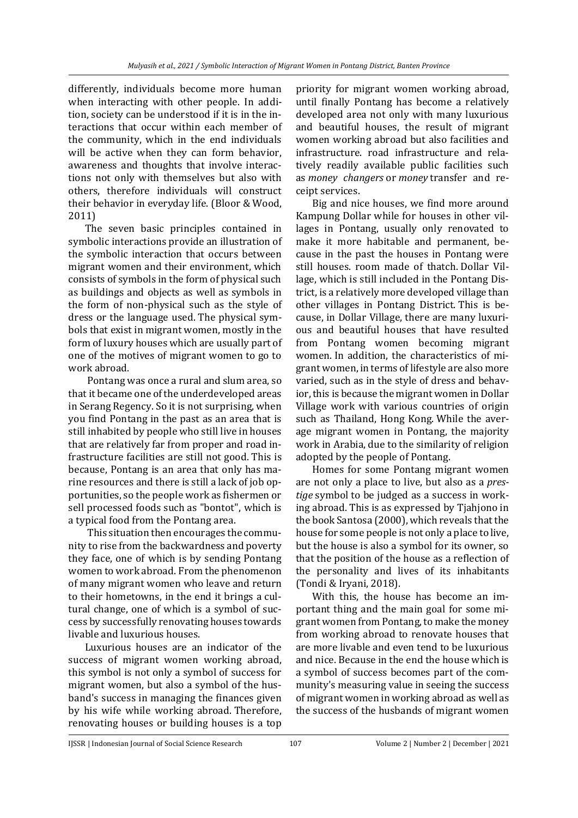differently, individuals become more human when interacting with other people. In addition, society can be understood if it is in the interactions that occur within each member of the community, which in the end individuals will be active when they can form behavior, awareness and thoughts that involve interactions not only with themselves but also with others, therefore individuals will construct their behavior in everyday life. (Bloor & Wood, 2011)

The seven basic principles contained in symbolic interactions provide an illustration of the symbolic interaction that occurs between migrant women and their environment, which consists of symbols in the form of physical such as buildings and objects as well as symbols in the form of non-physical such as the style of dress or the language used. The physical symbols that exist in migrant women, mostly in the form of luxury houses which are usually part of one of the motives of migrant women to go to work abroad.

Pontang was once a rural and slum area, so that it became one of the underdeveloped areas in Serang Regency. So it is not surprising, when you find Pontang in the past as an area that is still inhabited by people who still live in houses that are relatively far from proper and road infrastructure facilities are still not good. This is because, Pontang is an area that only has marine resources and there is still a lack of job opportunities, so the people work as fishermen or sell processed foods such as "bontot", which is a typical food from the Pontang area.

This situation then encourages the community to rise from the backwardness and poverty they face, one of which is by sending Pontang women to work abroad. From the phenomenon of many migrant women who leave and return to their hometowns, in the end it brings a cultural change, one of which is a symbol of success by successfully renovating houses towards livable and luxurious houses.

Luxurious houses are an indicator of the success of migrant women working abroad, this symbol is not only a symbol of success for migrant women, but also a symbol of the husband's success in managing the finances given by his wife while working abroad. Therefore, renovating houses or building houses is a top

priority for migrant women working abroad, until finally Pontang has become a relatively developed area not only with many luxurious and beautiful houses, the result of migrant women working abroad but also facilities and infrastructure. road infrastructure and relatively readily available public facilities such as *money changers* or *money* transfer and receipt services.

Big and nice houses, we find more around Kampung Dollar while for houses in other villages in Pontang, usually only renovated to make it more habitable and permanent, because in the past the houses in Pontang were still houses. room made of thatch. Dollar Village, which is still included in the Pontang District, is a relatively more developed village than other villages in Pontang District. This is because, in Dollar Village, there are many luxurious and beautiful houses that have resulted from Pontang women becoming migrant women. In addition, the characteristics of migrant women, in terms of lifestyle are also more varied, such as in the style of dress and behavior, this is because the migrant women in Dollar Village work with various countries of origin such as Thailand, Hong Kong. While the average migrant women in Pontang, the majority work in Arabia, due to the similarity of religion adopted by the people of Pontang.

Homes for some Pontang migrant women are not only a place to live, but also as a *prestige* symbol to be judged as a success in working abroad. This is as expressed by Tjahjono in the book Santosa (2000), which reveals that the house for some people is not only a place to live, but the house is also a symbol for its owner, so that the position of the house as a reflection of the personality and lives of its inhabitants (Tondi & Iryani, 2018).

With this, the house has become an important thing and the main goal for some migrant women from Pontang, to make the money from working abroad to renovate houses that are more livable and even tend to be luxurious and nice. Because in the end the house which is a symbol of success becomes part of the community's measuring value in seeing the success of migrant women in working abroad as well as the success of the husbands of migrant women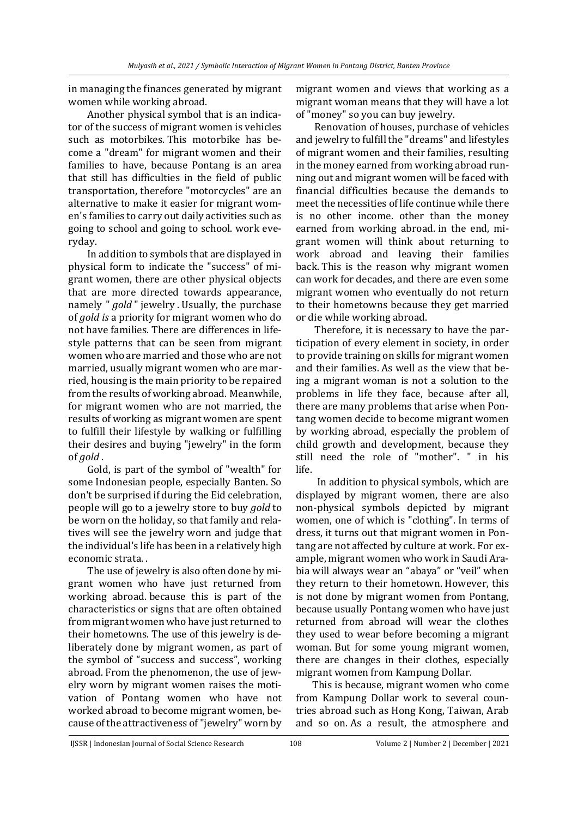in managing the finances generated by migrant women while working abroad.

Another physical symbol that is an indicator of the success of migrant women is vehicles such as motorbikes. This motorbike has become a "dream" for migrant women and their families to have, because Pontang is an area that still has difficulties in the field of public transportation, therefore "motorcycles" are an alternative to make it easier for migrant women's families to carry out daily activities such as going to school and going to school. work everyday.

In addition to symbols that are displayed in physical form to indicate the "success" of migrant women, there are other physical objects that are more directed towards appearance, namely " *gold* " jewelry . Usually, the purchase of *gold is* a priority for migrant women who do not have families. There are differences in lifestyle patterns that can be seen from migrant women who are married and those who are not married, usually migrant women who are married, housing is the main priority to be repaired from the results of working abroad. Meanwhile, for migrant women who are not married, the results of working as migrant women are spent to fulfill their lifestyle by walking or fulfilling their desires and buying "jewelry" in the form of *gold* .

Gold, is part of the symbol of "wealth" for some Indonesian people, especially Banten. So don't be surprised if during the Eid celebration, people will go to a jewelry store to buy *gold* to be worn on the holiday, so that family and relatives will see the jewelry worn and judge that the individual's life has been in a relatively high economic strata. .

The use of jewelry is also often done by migrant women who have just returned from working abroad. because this is part of the characteristics or signs that are often obtained from migrant women who have just returned to their hometowns. The use of this jewelry is deliberately done by migrant women, as part of the symbol of "success and success", working abroad. From the phenomenon, the use of jewelry worn by migrant women raises the motivation of Pontang women who have not worked abroad to become migrant women, because of the attractiveness of "jewelry" worn by

migrant women and views that working as a migrant woman means that they will have a lot of "money" so you can buy jewelry.

Renovation of houses, purchase of vehicles and jewelry to fulfill the "dreams" and lifestyles of migrant women and their families, resulting in the money earned from working abroad running out and migrant women will be faced with financial difficulties because the demands to meet the necessities of life continue while there is no other income. other than the money earned from working abroad. in the end, migrant women will think about returning to work abroad and leaving their families back. This is the reason why migrant women can work for decades, and there are even some migrant women who eventually do not return to their hometowns because they get married or die while working abroad.

Therefore, it is necessary to have the participation of every element in society, in order to provide training on skills for migrant women and their families. As well as the view that being a migrant woman is not a solution to the problems in life they face, because after all, there are many problems that arise when Pontang women decide to become migrant women by working abroad, especially the problem of child growth and development, because they still need the role of "mother". " in his life.

In addition to physical symbols, which are displayed by migrant women, there are also non-physical symbols depicted by migrant women, one of which is "clothing". In terms of dress, it turns out that migrant women in Pontang are not affected by culture at work. For example, migrant women who work in Saudi Arabia will always wear an "abaya" or "veil" when they return to their hometown. However, this is not done by migrant women from Pontang, because usually Pontang women who have just returned from abroad will wear the clothes they used to wear before becoming a migrant woman. But for some young migrant women, there are changes in their clothes, especially migrant women from Kampung Dollar.

This is because, migrant women who come from Kampung Dollar work to several countries abroad such as Hong Kong, Taiwan, Arab and so on. As a result, the atmosphere and